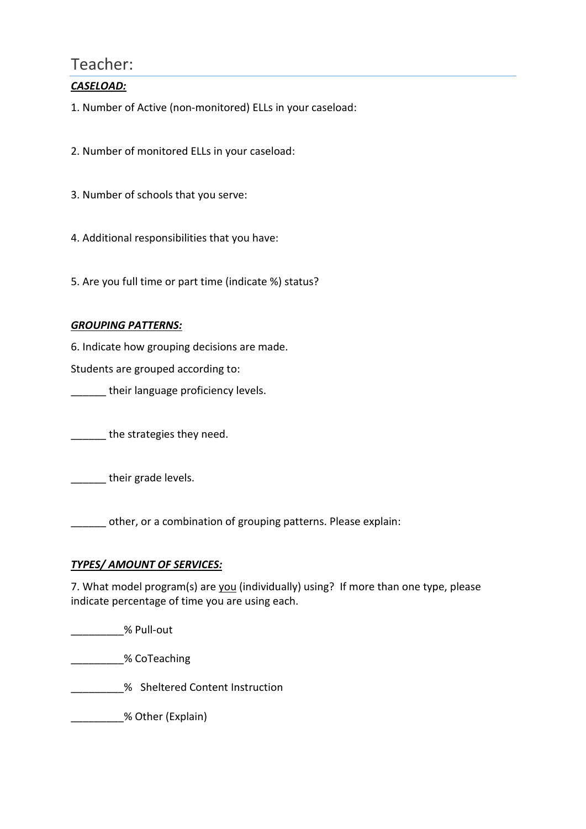## Teacher:

### *CASELOAD:*

1. Number of Active (non-monitored) ELLs in your caseload:

2. Number of monitored ELLs in your caseload:

3. Number of schools that you serve:

4. Additional responsibilities that you have:

5. Are you full time or part time (indicate %) status?

#### *GROUPING PATTERNS:*

6. Indicate how grouping decisions are made.

Students are grouped according to:

their language proficiency levels.

the strategies they need.

their grade levels.

other, or a combination of grouping patterns. Please explain:

#### *TYPES/ AMOUNT OF SERVICES:*

7. What model program(s) are you (individually) using? If more than one type, please indicate percentage of time you are using each.

\_\_\_\_\_\_\_\_\_% Pull-out

\_\_\_\_\_\_\_\_\_% CoTeaching

**\_\_\_\_\_\_\_\_\_%** Sheltered Content Instruction

\_\_\_\_\_\_\_\_\_% Other (Explain)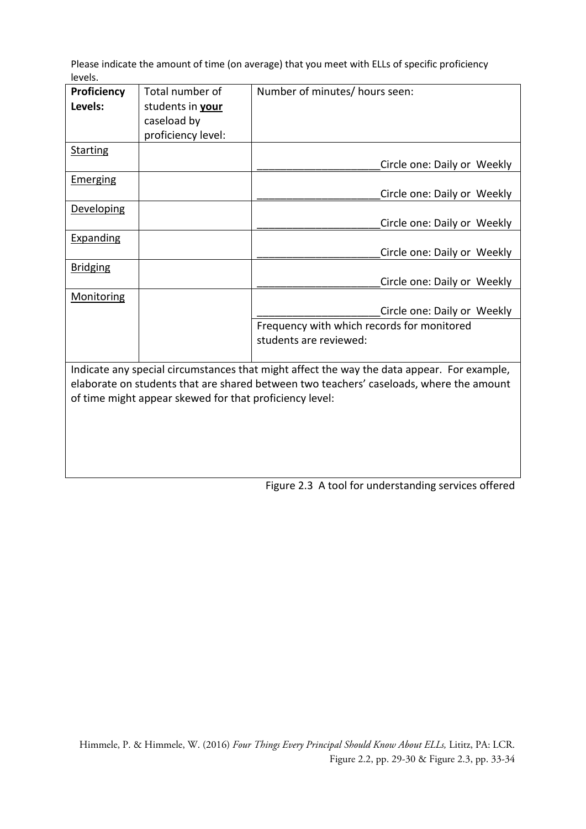Please indicate the amount of time (on average) that you meet with ELLs of specific proficiency levels.

| <b>Proficiency</b>                                                                         | Total number of    | Number of minutes/ hours seen:             |  |  |  |  |
|--------------------------------------------------------------------------------------------|--------------------|--------------------------------------------|--|--|--|--|
| Levels:                                                                                    | students in your   |                                            |  |  |  |  |
|                                                                                            | caseload by        |                                            |  |  |  |  |
|                                                                                            | proficiency level: |                                            |  |  |  |  |
| <b>Starting</b>                                                                            |                    |                                            |  |  |  |  |
|                                                                                            |                    | Circle one: Daily or Weekly                |  |  |  |  |
| Emerging                                                                                   |                    |                                            |  |  |  |  |
|                                                                                            |                    | Circle one: Daily or Weekly                |  |  |  |  |
| <b>Developing</b>                                                                          |                    |                                            |  |  |  |  |
|                                                                                            |                    | Circle one: Daily or Weekly                |  |  |  |  |
| Expanding                                                                                  |                    |                                            |  |  |  |  |
|                                                                                            |                    | Circle one: Daily or Weekly                |  |  |  |  |
| <b>Bridging</b>                                                                            |                    |                                            |  |  |  |  |
|                                                                                            |                    | Circle one: Daily or Weekly                |  |  |  |  |
| Monitoring                                                                                 |                    |                                            |  |  |  |  |
|                                                                                            |                    | Circle one: Daily or Weekly                |  |  |  |  |
|                                                                                            |                    | Frequency with which records for monitored |  |  |  |  |
|                                                                                            |                    | students are reviewed:                     |  |  |  |  |
|                                                                                            |                    |                                            |  |  |  |  |
| Indicate any special circumstances that might affect the way the data appear. For example, |                    |                                            |  |  |  |  |
| elaborate on students that are shared between two teachers' caseloads, where the amount    |                    |                                            |  |  |  |  |
| of time might appear skewed for that proficiency level:                                    |                    |                                            |  |  |  |  |
|                                                                                            |                    |                                            |  |  |  |  |
|                                                                                            |                    |                                            |  |  |  |  |
|                                                                                            |                    |                                            |  |  |  |  |

Figure 2.3 A tool for understanding services offered